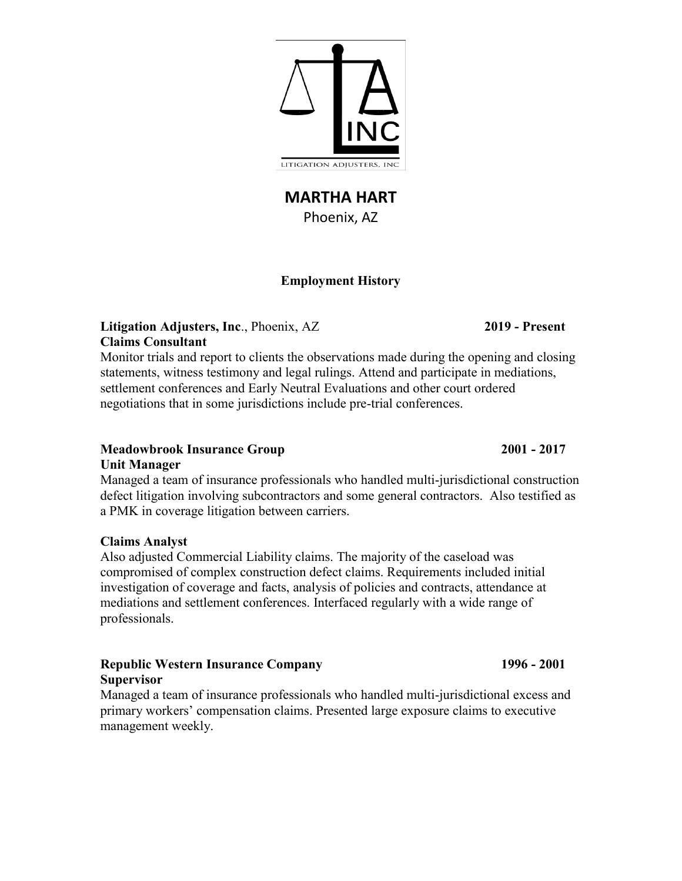**MARTHA HART** Phoenix, AZ

# **Employment History**

# **Litigation Adjusters, Inc**., Phoenix, AZ **2019 - Present Claims Consultant**

Monitor trials and report to clients the observations made during the opening and closing statements, witness testimony and legal rulings. Attend and participate in mediations, settlement conferences and Early Neutral Evaluations and other court ordered negotiations that in some jurisdictions include pre-trial conferences.

#### **Meadowbrook Insurance Group 2001 - 2017 Unit Manager**

Managed a team of insurance professionals who handled multi-jurisdictional construction defect litigation involving subcontractors and some general contractors. Also testified as a PMK in coverage litigation between carriers.

#### **Claims Analyst**

Also adjusted Commercial Liability claims. The majority of the caseload was compromised of complex construction defect claims. Requirements included initial investigation of coverage and facts, analysis of policies and contracts, attendance at mediations and settlement conferences. Interfaced regularly with a wide range of professionals.

# **Republic Western Insurance Company 1996 - 2001 Supervisor**

Managed a team of insurance professionals who handled multi-jurisdictional excess and primary workers' compensation claims. Presented large exposure claims to executive management weekly.